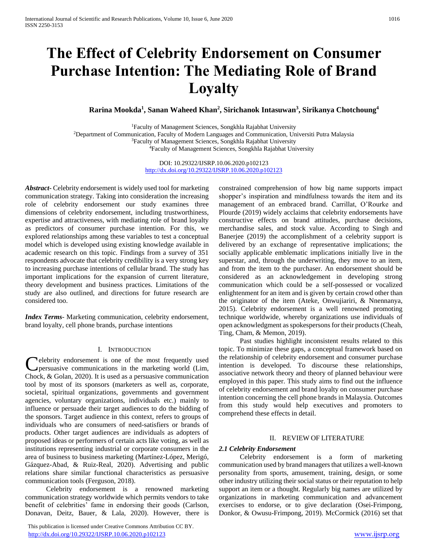# **The Effect of Celebrity Endorsement on Consumer Purchase Intention: The Mediating Role of Brand Loyalty**

# **Rarina Mookda<sup>1</sup> , Sanan Waheed Khan<sup>2</sup> , Sirichanok Intasuwan<sup>3</sup> , Sirikanya Chotchoung<sup>4</sup>**

Faculty of Management Sciences, Songkhla Rajabhat University Department of Communication, Faculty of Modern Languages and Communication, Universiti Putra Malaysia Faculty of Management Sciences, Songkhla Rajabhat University Faculty of Management Sciences, Songkhla Rajabhat University

> DOI: 10.29322/IJSRP.10.06.2020.p102123 <http://dx.doi.org/10.29322/IJSRP.10.06.2020.p102123>

*Abstract***-** Celebrity endorsement is widely used tool for marketing communication strategy. Taking into consideration the increasing role of celebrity endorsement our study examines three dimensions of celebrity endorsement, including trustworthiness, expertise and attractiveness, with mediating role of brand loyalty as predictors of consumer purchase intention. For this, we explored relationships among these variables to test a conceptual model which is developed using existing knowledge available in academic research on this topic. Findings from a survey of 351 respondents advocate that celebrity credibility is a very strong key to increasing purchase intentions of cellular brand. The study has important implications for the expansion of current literature, theory development and business practices. Limitations of the study are also outlined, and directions for future research are considered too.

*Index Terms*- Marketing communication, celebrity endorsement, brand loyalty, cell phone brands, purchase intentions

# I. INTRODUCTION

**C**elebrity endorsement is one of the most frequently used<br>persuasive communications in the marketing world (Lim, persuasive communications in the marketing world (Lim, Chock, & Golan, 2020). It is used as a persuasive communication tool by most of its sponsors (marketers as well as, corporate, societal, spiritual organizations, governments and government agencies, voluntary organizations, individuals etc.) mainly to influence or persuade their target audiences to do the bidding of the sponsors. Target audience in this context, refers to groups of individuals who are consumers of need-satisfiers or brands of products. Other target audiences are individuals as adopters of proposed ideas or performers of certain acts like voting, as well as institutions representing industrial or corporate consumers in the area of business to business marketing (Martínez-López, Merigó, Gázquez-Abad, & Ruiz-Real, 2020). Advertising and public relations share similar functional characteristics as persuasive communication tools (Ferguson, 2018).

 Celebrity endorsement is a renowned marketing communication strategy worldwide which permits vendors to take benefit of celebrities' fame in endorsing their goods (Carlson, Donavan, Deitz, Bauer, & Lala, 2020). However, there is

 This publication is licensed under Creative Commons Attribution CC BY. <http://dx.doi.org/10.29322/IJSRP.10.06.2020.p102123> [www.ijsrp.org](http://ijsrp.org/)

constrained comprehension of how big name supports impact shopper's inspiration and mindfulness towards the item and its management of an embraced brand. Carrillat, O'Rourke and Plourde (2019) widely acclaims that celebrity endorsements have constructive effects on brand attitudes, purchase decisions, merchandise sales, and stock value. According to Singh and Banerjee (2019) the accomplishment of a celebrity support is delivered by an exchange of representative implications; the socially applicable emblematic implications initially live in the superstar, and, through the underwriting, they move to an item, and from the item to the purchaser. An endorsement should be considered as an acknowledgement in developing strong communication which could be a self-possessed or vocalized enlightenment for an item and is given by certain crowd other than the originator of the item (Ateke, Onwujiariri, & Nnennanya, 2015). Celebrity endorsement is a well renowned promoting technique worldwide, whereby organizations use individuals of open acknowledgment as spokespersons for their products (Cheah, Ting, Cham, & Memon, 2019).

 Past studies highlight inconsistent results related to this topic. To minimize these gaps, a conceptual framework based on the relationship of celebrity endorsement and consumer purchase intention is developed. To discourse these relationships, associative network theory and theory of planned behaviour were employed in this paper. This study aims to find out the influence of celebrity endorsement and brand loyalty on consumer purchase intention concerning the cell phone brands in Malaysia. Outcomes from this study would help executives and promoters to comprehend these effects in detail.

## II. REVIEW OF LITERATURE

#### *2.1 Celebrity Endorsement*

 Celebrity endorsement is a form of marketing communication used by brand managers that utilizes a well-known personality from sports, amusement, training, design, or some other industry utilizing their social status or their reputation to help support an item or a thought. Regularly big names are utilized by organizations in marketing communication and advancement exercises to endorse, or to give declaration (Osei-Frimpong, Donkor, & Owusu-Frimpong, 2019). McCormick (2016) set that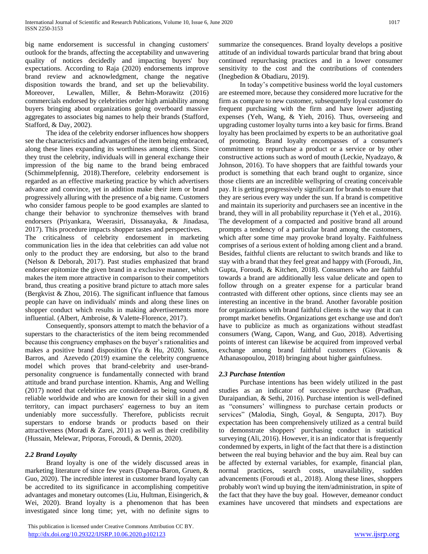big name endorsement is successful in changing customers' outlook for the brands, affecting the acceptability and unwavering quality of notices decidedly and impacting buyers' buy expectations. According to Raja (2020) endorsements improve brand review and acknowledgment, change the negative disposition towards the brand, and set up the believability. Moreover, Lewallen, Miller, & Behm-Morawitz (2016) commercials endorsed by celebrities order high amiability among buyers bringing about organizations going overboard massive aggregates to associates big names to help their brands (Stafford, Stafford, & Day, 2002).

 The idea of the celebrity endorser influences how shoppers see the characteristics and advantages of the item being embraced, along these lines expanding its worthiness among clients. Since they trust the celebrity, individuals will in general exchange their impression of the big name to the brand being embraced (Schimmelpfennig, 2018).Therefore, celebrity endorsement is regarded as an effective marketing practice by which advertisers advance and convince, yet in addition make their item or brand progressively alluring with the presence of a big name. Customers who consider famous people to be good examples are slanted to change their behavior to synchronize themselves with brand endorsers (Priyankara, Weerasiri, Dissanayaka, & Jinadasa, 2017). This procedure impacts shopper tastes and perspectives. The criticalness of celebrity endorsement in marketing communication lies in the idea that celebrities can add value not only to the product they are endorsing, but also to the brand (Nelson & Deborah, 2017). Past studies emphasized that brand endorser epitomize the given brand in a exclusive manner, which makes the item more attractive in comparison to their competitors brand, thus creating a positive brand picture to attach more sales (Bergkvist & Zhou, 2016). The significant influence that famous people can have on individuals' minds and along these lines on

influential. (Albert, Ambroise, & Valette-Florence, 2017). Consequently, sponsors attempt to match the behavior of a superstars to the characteristics of the item being recommended because this congruency emphases on the buyer's rationalities and makes a positive brand disposition (Yu & Hu, 2020). Santos, Barros, and Azevedo (2019) examine the celebrity congruence model which proves that brand-celebrity and user-brandpersonality congruence is fundamentally connected with brand attitude and brand purchase intention. Khamis, Ang and Welling (2017) noted that celebrities are considered as being sound and reliable worldwide and who are known for their skill in a given territory, can impact purchasers' eagerness to buy an item undeniably more successfully. Therefore, publicists recruit superstars to endorse brands or products based on their attractiveness (Moradi & Zarei, 2011) as well as their credibility (Hussain, Melewar, Priporas, Foroudi, & Dennis, 2020).

shopper conduct which results in making advertisements more

# *2.2 Brand Loyalty*

 Brand loyalty is one of the widely discussed areas in marketing literature of since few years (Dapena-Baron, Gruen, & Guo, 2020). The incredible interest in customer brand loyalty can be accredited to its significance in accomplishing competitive advantages and monetary outcomes (Liu, Hultman, Eisingerich, & Wei, 2020). Brand loyalty is a phenomenon that has been investigated since long time; yet, with no definite signs to

 This publication is licensed under Creative Commons Attribution CC BY. <http://dx.doi.org/10.29322/IJSRP.10.06.2020.p102123> [www.ijsrp.org](http://ijsrp.org/)

summarize the consequences. Brand loyalty develops a positive attitude of an individual towards particular brand that bring about continued repurchasing practices and in a lower consumer sensitivity to the cost and the contributions of contenders (Inegbedion & Obadiaru, 2019).

 In today's competitive business world the loyal customers are esteemed more, because they considered more lucrative for the firm as compare to new customer, subsequently loyal customer do frequent purchasing with the firm and have lower adjusting expenses (Yeh, Wang, & Yieh, 2016). Thus, overseeing and upgrading customer loyalty turns into a key basic for firms. Brand loyalty has been proclaimed by experts to be an authoritative goal of promoting. Brand loyalty encompasses of a consumer's commitment to repurchase a product or a service or by other constructive actions such as word of mouth (Leckie, Nyadzayo, & Johnson, 2016). To have shoppers that are faithful towards your product is something that each brand ought to organize, since those clients are an incredible wellspring of creating conceivable pay. It is getting progressively significant for brands to ensure that they are serious every way under the sun. If a brand is competitive and maintain its superiority and purchasers see an incentive in the brand, they will in all probability repurchase it (Yeh et al., 2016). The development of a compacted and positive brand all around prompts a tendency of a particular brand among the customers, which after some time may provoke brand loyalty. Faithfulness comprises of a serious extent of holding among client and a brand. Besides, faithful clients are reluctant to switch brands and like to stay with a brand that they feel great and happy with (Foroudi, Jin, Gupta, Foroudi, & Kitchen, 2018). Consumers who are faithful towards a brand are additionally less value delicate and open to follow through on a greater expense for a particular brand contrasted with different other options, since clients may see an interesting an incentive in the brand. Another favorable position for organizations with brand faithful clients is the way that it can prompt market benefits. Organizations get exchange use and don't have to publicize as much as organizations without steadfast consumers (Wang, Capon, Wang, and Guo, 2018). Advertising points of interest can likewise be acquired from improved verbal exchange among brand faithful customers (Giovanis & Athanasopoulou, 2018) bringing about higher gainfulness.

# *2.3 Purchase Intention*

 Purchase intentions has been widely utilized in the past studies as an indicator of successive purchase (Pradhan, Duraipandian, & Sethi, 2016). Purchase intention is well-defined as "consumers' willingness to purchase certain products or services" (Malodia, Singh, Goyal, & Sengupta, 2017). Buy expectation has been comprehensively utilized as a central build to demonstrate shoppers' purchasing conduct in statistical surveying (Ali, 2016). However, it is an indicator that is frequently condemned by experts, in light of the fact that there is a distinction between the real buying behavior and the buy aim. Real buy can be affected by external variables, for example, financial plan, normal practices, search costs, unavailability, sudden advancements (Foroudi et al., 2018). Along these lines, shoppers probably won't wind up buying the item/administration, in spite of the fact that they have the buy goal. However, demeanor conduct examines have uncovered that mindsets and expectations are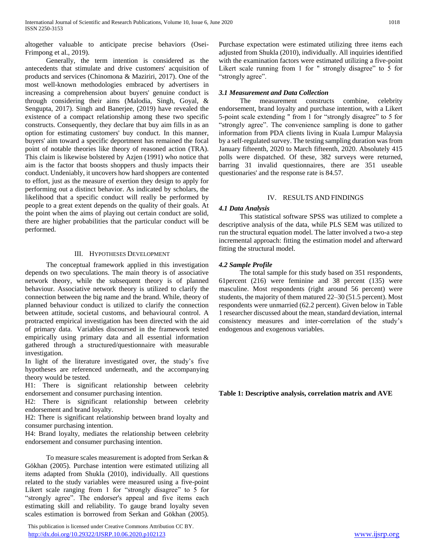altogether valuable to anticipate precise behaviors (Osei-Frimpong et al., 2019).

 Generally, the term intention is considered as the antecedents that stimulate and drive customers' acquisition of products and services (Chinomona & Maziriri, 2017). One of the most well-known methodologies embraced by advertisers in increasing a comprehension about buyers' genuine conduct is through considering their aims (Malodia, Singh, Goyal, & Sengupta, 2017). Singh and Banerjee, (2019) have revealed the existence of a compact relationship among these two specific constructs. Consequently, they declare that buy aim fills in as an option for estimating customers' buy conduct. In this manner, buyers' aim toward a specific deportment has remained the focal point of notable theories like theory of reasoned action (TRA). This claim is likewise bolstered by Azjen (1991) who notice that aim is the factor that boosts shoppers and thusly impacts their conduct. Undeniably, it uncovers how hard shoppers are contented to effort, just as the measure of exertion they design to apply for performing out a distinct behavior. As indicated by scholars, the likelihood that a specific conduct will really be performed by people to a great extent depends on the quality of their goals. At the point when the aims of playing out certain conduct are solid, there are higher probabilities that the particular conduct will be performed.

# III. HYPOTHESES DEVELOPMENT

 The conceptual framework applied in this investigation depends on two speculations. The main theory is of associative network theory, while the subsequent theory is of planned behaviour. Associative network theory is utilized to clarify the connection between the big name and the brand. While, theory of planned behaviour conduct is utilized to clarify the connection between attitude, societal customs, and behavioural control. A protracted empirical investigation has been directed with the aid of primary data. Variables discoursed in the framework tested empirically using primary data and all essential information gathered through a structured/questionnaire with measurable investigation.

In light of the literature investigated over, the study's five hypotheses are referenced underneath, and the accompanying theory would be tested.

H1: There is significant relationship between celebrity endorsement and consumer purchasing intention.

H2: There is significant relationship between celebrity endorsement and brand loyalty.

H2: There is significant relationship between brand loyalty and consumer purchasing intention.

H4: Brand loyalty, mediates the relationship between celebrity endorsement and consumer purchasing intention.

 To measure scales measurement is adopted from Serkan & Gökhan (2005). Purchase intention were estimated utilizing all items adapted from Shukla (2010), individually. All questions related to the study variables were measured using a five-point Likert scale ranging from 1 for "strongly disagree" to 5 for "strongly agree". The endorser's appeal and five items each estimating skill and reliability. To gauge brand loyalty seven scales estimation is borrowed from Serkan and Gökhan (2005).

 This publication is licensed under Creative Commons Attribution CC BY. <http://dx.doi.org/10.29322/IJSRP.10.06.2020.p102123> [www.ijsrp.org](http://ijsrp.org/)

Purchase expectation were estimated utilizing three items each adjusted from Shukla (2010), individually. All inquiries identified with the examination factors were estimated utilizing a five-point Likert scale running from 1 for " strongly disagree" to 5 for "strongly agree".

# *3.1 Measurement and Data Collection*

 The measurement constructs combine, celebrity endorsement, brand loyalty and purchase intention, with a Likert 5-point scale extending " from 1 for "strongly disagree" to 5 for "strongly agree". The convenience sampling is done to gather information from PDA clients living in Kuala Lumpur Malaysia by a self-regulated survey. The testing sampling duration was from January fifteenth, 2020 to March fifteenth, 2020. Absolutely 415 polls were dispatched. Of these, 382 surveys were returned, barring 31 invalid questionnaires, there are 351 useable questionaries' and the response rate is 84.57.

#### IV. RESULTS AND FINDINGS

## *4.1 Data Analysis*

 This statistical software SPSS was utilized to complete a descriptive analysis of the data, while PLS SEM was utilized to run the structural equation model. The latter involved a two-a step incremental approach: fitting the estimation model and afterward fitting the structural model.

## *4.2 Sample Profile*

 The total sample for this study based on 351 respondents, 61percent (216) were feminine and 38 percent (135) were masculine. Most respondents (right around 56 percent) were students, the majority of them matured 22–30 (51.5 percent). Most respondents were unmarried (62.2 percent). Given below in Table 1 researcher discussed about the mean, standard deviation, internal consistency measures and inter-correlation of the study's endogenous and exogenous variables.

**Table 1: Descriptive analysis, correlation matrix and AVE**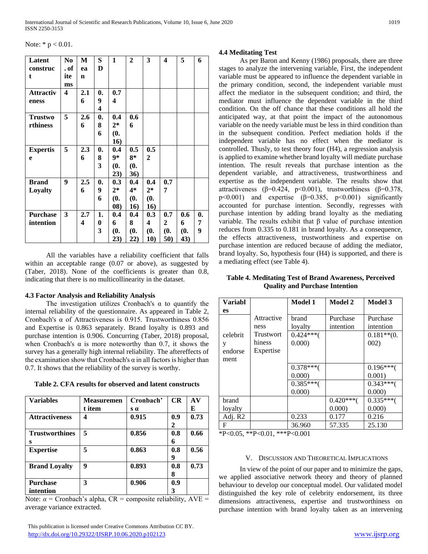Note:  $* p < 0.01$ .

| Latent           | N <sub>0</sub> | M           | S              | 1     | $\mathbf{2}$ | 3            | 4              | 5   | 6  |
|------------------|----------------|-------------|----------------|-------|--------------|--------------|----------------|-----|----|
| construc         | . of           | ea          | D              |       |              |              |                |     |    |
| t.               | ite            | $\mathbf n$ |                |       |              |              |                |     |    |
|                  | ms             |             |                |       |              |              |                |     |    |
| <b>Attractiv</b> | 4              | 2.1         | $\mathbf{0}$ . | 0.7   |              |              |                |     |    |
| eness            |                | 6           | 9              | 4     |              |              |                |     |    |
|                  |                |             | 4              |       |              |              |                |     |    |
| <b>Trustwo</b>   | 5              | 2.6         | $\mathbf{0}$   | 0.4   | 0.6          |              |                |     |    |
| rthiness         |                | 6           | 8              | $2*$  | 6            |              |                |     |    |
|                  |                |             | 6              | (0.   |              |              |                |     |    |
|                  |                |             |                | 16)   |              |              |                |     |    |
| <b>Expertis</b>  | 5              | 2.3         | $\mathbf{0}$   | 0.4   | 0.5          | 0.5          |                |     |    |
| e                |                | 6           | 8              | 9*    | 8*           | $\mathbf{2}$ |                |     |    |
|                  |                |             | 3              | (0.   | (0.          |              |                |     |    |
|                  |                |             |                | 23)   | 36)          |              |                |     |    |
| <b>Brand</b>     | 9              | 2.5         | $\mathbf{0}$   | 0.3   | 0.4          | 0.4          | 0.7            |     |    |
| Loyalty          |                | 6           | 9              | $2^*$ | $4*$         | $2*$         | 7              |     |    |
|                  |                |             | 6              | (0,   | (0,          | (0.          |                |     |    |
|                  |                |             |                | 08)   | 16)          | 16)          |                |     |    |
| <b>Purchase</b>  | 3              | 2.7         | 1.             | 0.4   | 0.4          | 0.3          | 0.7            | 0.6 | 0. |
| intention        |                | 4           | 0              | 6     | 8            | 4            | $\overline{2}$ | 6   | 7  |
|                  |                |             | 3              | (0.   | (0.          | (0.          | (0.            | (0. | 9  |
|                  |                |             |                | 23)   | 22)          | 10)          | 50)            | 43) |    |

 All the variables have a reliability coefficient that falls within an acceptable range (0.07 or above), as suggested by (Taber, 2018). None of the coefficients is greater than 0.8, indicating that there is no multicollinearity in the dataset.

# **4.3 Factor Analysis and Reliability Analysis**

The investigation utilizes Cronbach's  $\alpha$  to quantify the internal reliability of the questionnaire. As appeared in Table 2, Cronbach's α of Attractiveness is 0.915. Trustworthiness 0.856 and Expertise is 0.863 separately. Brand loyalty is 0.893 and purchase intention is 0.906. Concurring (Taber, 2018) proposal, when Cronbach's  $\alpha$  is more noteworthy than 0.7, it shows the survey has a generally high internal reliability. The aftereffects of the examination show that Cronbach's  $\alpha$  in all factors is higher than 0.7. It shows that the reliability of the survey is worthy.

| Table 2. CFA results for observed and latent constructs |  |  |
|---------------------------------------------------------|--|--|
|---------------------------------------------------------|--|--|

| <b>Variables</b>      | Measuremen | Cronbach'  | CR  | AV   |
|-----------------------|------------|------------|-----|------|
|                       | t item     | $s \alpha$ |     | E    |
| <b>Attractiveness</b> | 4          | 0.915      | 0.9 | 0.73 |
|                       |            |            | 2   |      |
| <b>Trustworthines</b> | 5          | 0.856      | 0.8 | 0.66 |
| S                     |            |            | 6   |      |
| <b>Expertise</b>      | 5          | 0.863      | 0.8 | 0.56 |
|                       |            |            | 9   |      |
| <b>Brand Loyalty</b>  | 9          | 0.893      | 0.8 | 0.73 |
|                       |            |            | 8   |      |
| <b>Purchase</b>       | 3          | 0.906      | 0.9 |      |
| intention             |            |            | 3   |      |

Note:  $\alpha$  = Cronbach's alpha, CR = composite reliability, AVE = average variance extracted.

# **4.4 Meditating Test**

 As per Baron and Kenny (1986) proposals, there are three stages to analyze the intervening variable, First, the independent variable must be appeared to influence the dependent variable in the primary condition, second, the independent variable must affect the mediator in the subsequent condition; and third, the mediator must influence the dependent variable in the third condition. On the off chance that these conditions all hold the anticipated way, at that point the impact of the autonomous variable on the needy variable must be less in third condition than in the subsequent condition. Perfect mediation holds if the independent variable has no effect when the mediator is controlled. Thusly, to test theory four (H4), a regression analysis is applied to examine whether brand loyalty will mediate purchase intention. The result reveals that purchase intention as the dependent variable, and attractiveness, trustworthiness and expertise as the independent variable. The results show that attractiveness ( $\beta$ =0.424, p<0.001), trustworthiness ( $\beta$ =0.378, p $<0.001$ ) and expertise ( $\beta$ =0.385, p $<0.001$ ) significantly accounted for purchase intention. Secondly, regresses with purchase intention by adding brand loyalty as the mediating variable. The results exhibit that β value of purchase intention reduces from 0.335 to 0.181 in brand loyalty. As a consequence, the effects attractiveness, trustworthiness and expertise on purchase intention are reduced because of adding the mediator, brand loyalty. So, hypothesis four (H4) is supported, and there is a mediating effect (see Table 4).

**Table 4. Meditating Test of Brand Awareness, Perceived Quality and Purchase Intention**

| Variabl   |            | Model 1    | Model 2    | Model 3       |
|-----------|------------|------------|------------|---------------|
| <b>es</b> |            |            |            |               |
|           | Attractive | brand      | Purchase   | Purchase      |
|           | ness       | loyalty    | intention  | intention     |
| celebrit  | Trustwort  | $0.424***$ |            | $0.181**$ (0. |
| y         | hiness     | 0.000)     |            | 002)          |
| endorse   | Expertise  |            |            |               |
| ment      |            |            |            |               |
|           |            | $0.378***$ |            | $0.196***$    |
|           |            | 0.000      |            | 0.001)        |
|           |            | $0.385***$ |            | $0.343***$    |
|           |            | 0.000)     |            | 0.000         |
| brand     |            |            | $0.420***$ | $0.335***$    |
| loyalty   |            |            | 0.000)     | 0.000         |
| Adj. R2   |            | 0.233      | 0.177      | 0.216         |
| F         |            | 36.960     | 57.335     | 25.130        |

\*P<0.05, \*\*P<0.01, \*\*\*P<0.001

# V. DISCUSSION AND THEORETICAL IMPLICATIONS

 In view of the point of our paper and to minimize the gaps, we applied associative network theory and theory of planned behaviour to develop our conceptual model. Our validated model distinguished the key role of celebrity endorsement, its three dimensions attractiveness, expertise and trustworthiness on purchase intention with brand loyalty taken as an intervening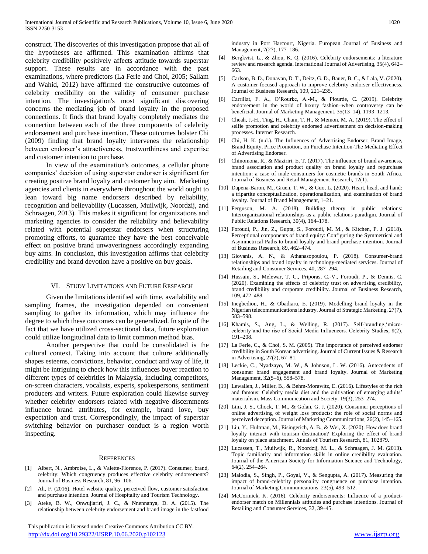construct. The discoveries of this investigation propose that all of the hypotheses are affirmed. This examination affirms that celebrity credibility positively affects attitude towards superstar support. These results are in accordance with the past examinations, where predictors (La Ferle and Choi, 2005; Sallam and Wahid, 2012) have affirmed the constructive outcomes of celebrity credibility on the validity of consumer purchase intention. The investigation's most significant discovering concerns the mediating job of brand loyalty in the proposed connections. It finds that brand loyalty completely mediates the connection between each of the three components of celebrity endorsement and purchase intention. These outcomes bolster Chi (2009) finding that brand loyalty intervenes the relationship between endorser's attractiveness, trustworthiness and expertise and customer intention to purchase.

 In view of the examination's outcomes, a cellular phone companies' decision of using superstar endorser is significant for creating positive brand loyalty and customer buy aim. Marketing agencies and clients in everywhere throughout the world ought to lean toward big name endorsers described by reliability, recognition and believability (Lucassen, Muilwijk, Noordzij, and Schraagen, 2013). This makes it significant for organizations and marketing agencies to consider the reliability and believability related with potential superstar endorsers when structuring promoting efforts, to guarantee they have the best conceivable effect on positive brand unwaveringness accordingly expanding buy aims. In conclusion, this investigation affirms that celebrity credibility and brand devotion have a positive on buy goals.

#### VI. STUDY LIMITATIONS AND FUTURE RESEARCH

 Given the limitations identified with time, availability and sampling frames, the investigation depended on convenient sampling to gather its information, which may influence the degree to which these outcomes can be generalized. In spite of the fact that we have utilized cross-sectional data, future exploration could utilize longitudinal data to limit common method bias.

 Another perspective that could be consolidated is the cultural context. Taking into account that culture additionally shapes esteems, convictions, behavior, conduct and way of life, it might be intriguing to check how this influences buyer reaction to different types of celebrities in Malaysia, including competitors, on-screen characters, vocalists, experts, spokespersons, sentiment producers and writers. Future exploration could likewise survey whether celebrity endorsers related with negative discernments influence brand attributes, for example, brand love, buy expectation and trust. Correspondingly, the impact of superstar switching behavior on purchaser conduct is a region worth inspecting.

#### **REFERENCES**

- [1] Albert, N., Ambroise, L., & Valette-Florence, P. (2017). Consumer, brand, celebrity: Which congruency produces effective celebrity endorsements? Journal of Business Research, 81, 96–106.
- [2] Ali, F. (2016). Hotel website quality, perceived flow, customer satisfaction and purchase intention. Journal of Hospitality and Tourism Technology.
- [3] Ateke, B. W., Onwujiariri, J. C., & Nnennanya, D. A. (2015). The relationship between celebrity endorsement and brand image in the fastfood

 This publication is licensed under Creative Commons Attribution CC BY. <http://dx.doi.org/10.29322/IJSRP.10.06.2020.p102123> [www.ijsrp.org](http://ijsrp.org/)

industry in Port Harcourt, Nigeria. European Journal of Business and Management, 7(27), 177–186.

- [4] Bergkvist, L., & Zhou, K. Q. (2016). Celebrity endorsements: a literature review and research agenda. International Journal of Advertising, 35(4), 642– 663.
- [5] Carlson, B. D., Donavan, D. T., Deitz, G. D., Bauer, B. C., & Lala, V. (2020). A customer-focused approach to improve celebrity endorser effectiveness. Journal of Business Research, 109, 221–235.
- [6] Carrillat, F. A., O'Rourke, A.-M., & Plourde, C. (2019). Celebrity endorsement in the world of luxury fashion–when controversy can be beneficial. Journal of Marketing Management, 35(13–14), 1193–1213.
- [7] Cheah, J.-H., Ting, H., Cham, T. H., & Memon, M. A. (2019). The effect of selfie promotion and celebrity endorsed advertisement on decision-making processes. Internet Research.
- [8] Chi, H. K. (n.d.). The Influences of Advertising Endorser, Brand Image, Brand Equity, Price Promotion, on Purchase Intention-The Mediating Effect of Advertising Endorser.
- [9] Chinomona, R., & Maziriri, E. T. (2017). The influence of brand awareness, brand association and product quality on brand loyalty and repurchase intention: a case of male consumers for cosmetic brands in South Africa. Journal of Business and Retail Management Research, 12(1).
- [10] Dapena-Baron, M., Gruen, T. W., & Guo, L. (2020). Heart, head, and hand: a tripartite conceptualization, operationalization, and examination of brand loyalty. Journal of Brand Management, 1–21.
- [11] Ferguson, M. A. (2018). Building theory in public relations: Interorganizational relationships as a public relations paradigm. Journal of Public Relations Research, 30(4), 164–178.
- [12] Foroudi, P., Jin, Z., Gupta, S., Foroudi, M. M., & Kitchen, P. J. (2018). Perceptional components of brand equity: Configuring the Symmetrical and Asymmetrical Paths to brand loyalty and brand purchase intention. Journal of Business Research, 89, 462–474.
- [13] Giovanis, A. N., & Athanasopoulou, P. (2018). Consumer-brand relationships and brand loyalty in technology-mediated services. Journal of Retailing and Consumer Services, 40, 287–294.
- [14] Hussain, S., Melewar, T. C., Priporas, C.-V., Foroudi, P., & Dennis, C. (2020). Examining the effects of celebrity trust on advertising credibility, brand credibility and corporate credibility. Journal of Business Research, 109, 472–488.
- [15] Inegbedion, H., & Obadiaru, E. (2019). Modelling brand loyalty in the Nigerian telecommunications industry. Journal of Strategic Marketing, 27(7), 583–598.
- [16] Khamis, S., Ang, L., & Welling, R. (2017). Self-branding, 'microcelebrity'and the rise of Social Media Influencers. Celebrity Studies, 8(2), 191–208.
- [17] La Ferle, C., & Choi, S. M. (2005). The importance of perceived endorser credibility in South Korean advertising. Journal of Current Issues & Research in Advertising, 27(2), 67–81.
- [18] Leckie, C., Nyadzayo, M. W., & Johnson, L. W. (2016). Antecedents of consumer brand engagement and brand loyalty. Journal of Marketing Management, 32(5–6), 558–578.
- [19] Lewallen, J., Miller, B., & Behm-Morawitz, E. (2016). Lifestyles of the rich and famous: Celebrity media diet and the cultivation of emerging adults' materialism. Mass Communication and Society, 19(3), 253–274.
- [20] Lim, J. S., Chock, T. M., & Golan, G. J. (2020). Consumer perceptions of online advertising of weight loss products: the role of social norms and perceived deception. Journal of Marketing Communications, 26(2), 145–165.
- [21] Liu, Y., Hultman, M., Eisingerich, A. B., & Wei, X. (2020). How does brand loyalty interact with tourism destination? Exploring the effect of brand loyalty on place attachment. Annals of Tourism Research, 81, 102879.
- [22] Lucassen, T., Muilwijk, R., Noordzij, M. L., & Schraagen, J. M. (2013). Topic familiarity and information skills in online credibility evaluation. Journal of the American Society for Information Science and Technology, 64(2), 254–264.
- [23] Malodia, S., Singh, P., Goyal, V., & Sengupta, A. (2017). Measuring the impact of brand-celebrity personality congruence on purchase intention. Journal of Marketing Communications, 23(5), 493–512.
- [24] McCormick, K. (2016). Celebrity endorsements: Influence of a productendorser match on Millennials attitudes and purchase intentions. Journal of Retailing and Consumer Services, 32, 39–45.